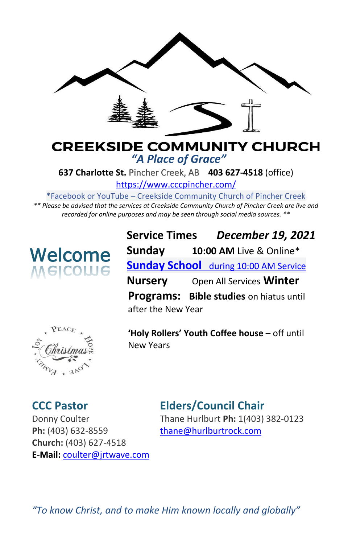

# **CREEKSIDE COMMUNITY CHURCH** *"A Place of Grace"*

**637 Charlotte St.** Pincher Creek, AB **403 627-4518** (office)

<https://www.cccpincher.com/>

\*Facebook or YouTube – Creekside Community Church of Pincher Creek

*\*\* Please be advised that the services at Creekside Community Church of Pincher Creek are live and recorded for online purposes and may be seen through social media sources. \*\**



**Service Times** *December 19, 2021* **Sunday 10:00 AM** Live & Online\* **Sunday School** during 10:00 AM Service **Nursery** Open All Services **Winter Programs: Bible studies** on hiatus until after the New Year



**'Holy Rollers' Youth Coffee house** – off until New Years

Ph: (403) 632-8559 [thane@hurlburtrock.com](mailto:thane@hurlburtrock.com) **Church:** (403) 627-4518 **E-Mail:** [coulter@jrtwave.com](mailto:coulter@jrtwave.com)

# **CCC Pastor Elders/Council Chair**

Donny [Coulte](https://creativecommons.org/licenses/by/3.0/)r Thane Hurlburt **Ph:** 1(403) 382-0123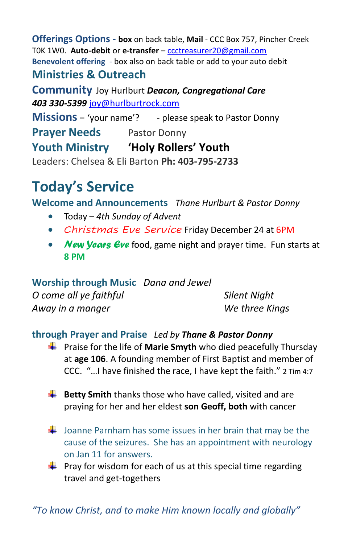**Offerings Options - box** on back table, **Mail** - CCC Box 757, Pincher Creek T0K 1W0. **Auto-debit** or **e-transfer** – [ccctreasurer20@gmail.com](mailto:ccctreasurer20@gmail.com) **Benevolent offering** - box also on back table or add to your auto debit **Ministries & Outreach** 

**Community** Joy Hurlburt *Deacon, Congregational Care 403 330-5399* [joy@hurlburtrock.com](mailto:joy@hurlburtrock.com)

**Missions** – 'your name'? - please speak to Pastor Donny

**Prayer Needs** Pastor Donny

**Youth Ministry 'Holy Rollers' Youth**

Leaders: Chelsea & Eli Barton **Ph: 403-795-2733**

# **Today's Service**

**Welcome and Announcements** *Thane Hurlburt & Pastor Donny*

- Today *4th Sunday of Advent*
- *Christmas Eve Service* Friday December 24 at 6PM
- *New Years Eve* food, game night and prayer time. Fun starts at **8 PM**

**Worship through Music** *Dana and Jewel O come all ye faithful Silent Night Away in a manger We three Kings*

## **through Prayer and Praise** *Led by Thane & Pastor Donny*

- **F** Praise for the life of **Marie Smyth** who died peacefully Thursday at **age 106**. A founding member of First Baptist and member of CCC. "…I have finished the race, I have kept the faith." 2 Tim 4:7
- **Betty Smith** thanks those who have called, visited and are praying for her and her eldest **son Geoff, both** with cancer
- $\downarrow$  Joanne Parnham has some issues in her brain that may be the cause of the seizures. She has an appointment with neurology on Jan 11 for answers.
- $\downarrow$  Pray for wisdom for each of us at this special time regarding travel and get-togethers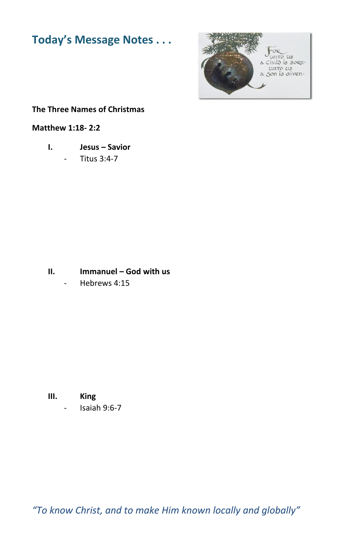# **Today's Message Notes . . .**



#### **The Three Names of Christmas**

#### **Matthew 1:18- 2:2**

**I. Jesus – Savior**

- Titus 3:4-7

**II. Immanuel – God with us**

Hebrews 4:15

**III. King**  - Isaiah 9:6-7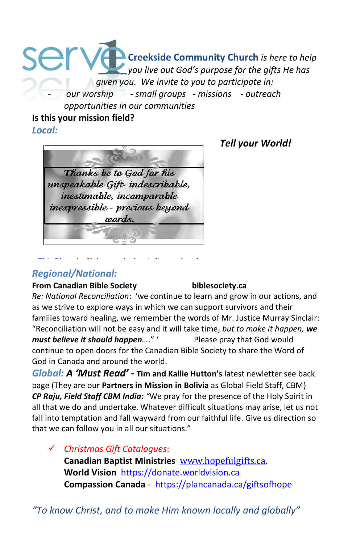### ser **Creekside Community Church** *is here to help you live out God's purpose for the gifts He has given you. We invite to you to participate in:* - *our worship - small groups - missions - outreach opportunities in our communities*

#### **Is this your mission field?**

*Local:* 



[This Photo](http://singanewsongpoetry.blogspot.com/2012/11/christmas-blessings.html) by Unknown Author is licensed under

## *Tell your World!*

### *[Regional/Na](https://creativecommons.org/licenses/by-nc-nd/3.0/)tional:*

#### **From Canadian Bible Society biblesociety.ca**

*Re: National Reconciliation*: 'we continue to learn and grow in our actions, and as we strive to explore ways in which we can support survivors and their families toward healing, we remember the words of Mr. Justice Murray Sinclair: "Reconciliation will not be easy and it will take time, *but to make it happen, we must believe it should happen…*." ' Please pray that God would continue to open doors for the Canadian Bible Society to share the Word of God in Canada and around the world.

*Global: A 'Must Read' -* **Tim and Kallie Hutton's** latest newletter see back page (They are our **Partners in Mission in Bolivia** as Global Field Staff, CBM) *CP Raju, Field Staff CBM India: "*We pray for the presence of the Holy Spirit in all that we do and undertake. Whatever difficult situations may arise, let us not fall into temptation and fall wayward from our faithful life. Give us direction so that we can follow you in all our situations."

✓ *Christmas Gift Catalogues*: **Canadian Baptist Ministries** [www.hopefulgifts.ca.](http://www.hopefulgifts.ca/) **World Vision** [https://donate.worldvision.ca](https://donate.worldvision.ca/) **Compassion Canada** -<https://plancanada.ca/giftsofhope>